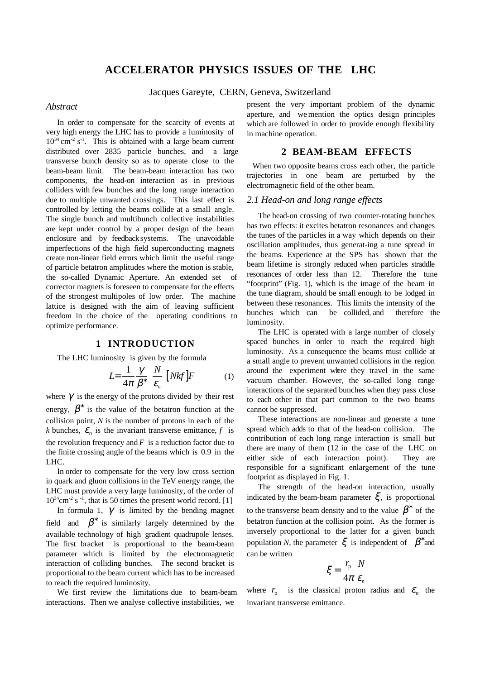# **ACCELERATOR PHYSICS ISSUES OF THE LHC**

Jacques Gareyte, CERN, Geneva, Switzerland

### *Abstract*

In order to compensate for the scarcity of events at very high energy the LHC has to provide a luminosity of  $10^{34}$  cm<sup>-2</sup> s<sup>-1</sup>. This is obtained with a large beam current distributed over 2835 particle bunches, and a large transverse bunch density so as to operate close to the beam-beam limit. The beam-beam interaction has two components, the head-on interaction as in previous colliders with few bunches and the long range interaction due to multiple unwanted crossings. This last effect is controlled by letting the beams collide at a small angle. The single bunch and multibunch collective instabilities are kept under control by a proper design of the beam enclosure and by feedback systems. The unavoidable imperfections of the high field superconducting magnets create non-linear field errors which limit the useful range of particle betatron amplitudes where the motion is stable, the so-called Dynamic Aperture. An extended set of corrector magnets is foreseen to compensate for the effects of the strongest multipoles of low order. The machine lattice is designed with the aim of leaving sufficient freedom in the choice of the operating conditions to optimize performance.

#### **1 INTRODUCTION**

The LHC luminosity is given by the formula

$$
L = \frac{1}{4\pi} \frac{\gamma}{\beta^*} \left[ \frac{N}{\varepsilon_n} \right] [Nkf] F \tag{1}
$$

where  $\gamma$  is the energy of the protons divided by their rest energy,  $\beta^*$  is the value of the betatron function at the collision point, *N* is the number of protons in each of the *k* bunches,  $\varepsilon_n$  is the invariant transverse emittance, *f* is the revolution frequency and  $F$  is a reduction factor due to the finite crossing angle of the beams which is 0.9 in the LHC.

In order to compensate for the very low cross section in quark and gluon collisions in the TeV energy range, the LHC must provide a very large luminosity, of the order of  $10^{34}$ cm<sup>-2</sup> s<sup>-1</sup>, that is 50 times the present world record. [1]

In formula 1,  $\gamma$  is limited by the bending magnet field and  $\beta^*$  is similarly largely determined by the available technology of high gradient quadrupole lenses. The first bracket is proportional to the beam-beam parameter which is limited by the electromagnetic interaction of colliding bunches. The second bracket is proportional to the beam current which has to be increased to reach the required luminosity.

We first review the limitations due to beam-beam interactions. Then we analyse collective instabilities, we

present the very important problem of the dynamic aperture, and we mention the optics design principles which are followed in order to provide enough flexibility in machine operation.

### **2 BEAM-BEAM EFFECTS**

When two opposite beams cross each other, the particle trajectories in one beam are perturbed by the electromagnetic field of the other beam.

#### *2.1 Head-on and long range effects*

The head-on crossing of two counter-rotating bunches has two effects: it excites betatron resonances and changes the tunes of the particles in a way which depends on their oscillation amplitudes, thus generat-ing a tune spread in the beams. Experience at the SPS has shown that the beam lifetime is strongly reduced when particles straddle resonances of order less than 12. Therefore the tune "footprint" (Fig. 1), which is the image of the beam in the tune diagram, should be small enough to be lodged in between these resonances. This limits the intensity of the bunches which can be collided, and therefore the luminosity.

The LHC is operated with a large number of closely spaced bunches in order to reach the required high luminosity. As a consequence the beams must collide at a small angle to prevent unwanted collisions in the region around the experiment where they travel in the same vacuum chamber. However, the so-called long range interactions of the separated bunches when they pass close to each other in that part common to the two beams cannot be suppressed.

These interactions are non-linear and generate a tune spread which adds to that of the head-on collision. The contribution of each long range interaction is small but there are many of them (12 in the case of the LHC on either side of each interaction point). They are responsible for a significant enlargement of the tune footprint as displayed in Fig. 1.

The strength of the head-on interaction, usually indicated by the beam-beam parameter  $\xi$ , is proportional to the transverse beam density and to the value  $\beta^*$  of the betatron function at the collision point. As the former is inversely proportional to the latter for a given bunch population *N*, the parameter  $\xi$  is independent of  $\beta^*$  and can be written

$$
\xi = \frac{r_{\rm p}}{4\pi} \frac{N}{\varepsilon_n}
$$

where  $r_p$  is the classical proton radius and  $\varepsilon_n$  the invariant transverse emittance.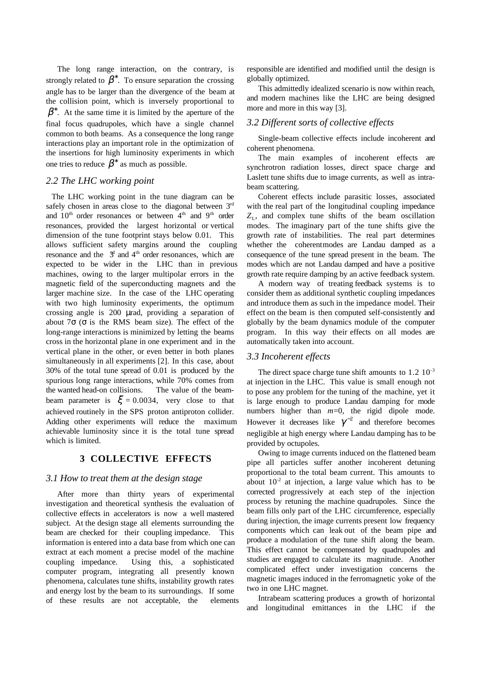The long range interaction, on the contrary, is strongly related to  $\beta^*$ . To ensure separation the crossing angle has to be larger than the divergence of the beam at the collision point, which is inversely proportional to  $\beta^*$ . At the same time it is limited by the aperture of the final focus quadrupoles, which have a single channel common to both beams. As a consequence the long range interactions play an important role in the optimization of the insertions for high luminosity experiments in which one tries to reduce  $\beta^*$  as much as possible.

## *2.2 The LHC working point*

The LHC working point in the tune diagram can be safely chosen in areas close to the diagonal between  $3<sup>rd</sup>$ and  $10^{th}$  order resonances or between  $4^{th}$  and  $9^{th}$  order resonances, provided the largest horizontal or vertical dimension of the tune footprint stays below 0.01. This allows sufficient safety margins around the coupling resonance and the  $3<sup>d</sup>$  and  $4<sup>th</sup>$  order resonances, which are expected to be wider in the LHC than in previous machines, owing to the larger multipolar errors in the magnetic field of the superconducting magnets and the larger machine size. In the case of the LHC operating with two high luminosity experiments, the optimum crossing angle is 200 µrad, providing a separation of about  $7\sigma$  ( $\sigma$  is the RMS beam size). The effect of the long-range interactions is minimized by letting the beams cross in the horizontal plane in one experiment and in the vertical plane in the other, or even better in both planes simultaneously in all experiments [2]. In this case, about 30% of the total tune spread of 0.01 is produced by the spurious long range interactions, while 70% comes from the wanted head-on collisions. The value of the beambeam parameter is  $\xi = 0.0034$ , very close to that achieved routinely in the SPS proton antiproton collider. Adding other experiments will reduce the maximum achievable luminosity since it is the total tune spread which is limited.

### **3 COLLECTIVE EFFECTS**

#### *3.1 How to treat them at the design stage*

After more than thirty years of experimental investigation and theoretical synthesis the evaluation of collective effects in accelerators is now a well mastered subject. At the design stage all elements surrounding the beam are checked for their coupling impedance. This information is entered into a data base from which one can extract at each moment a precise model of the machine coupling impedance. Using this, a sophisticated computer program, integrating all presently known phenomena, calculates tune shifts, instability growth rates and energy lost by the beam to its surroundings. If some of these results are not acceptable, the elements responsible are identified and modified until the design is globally optimized.

This admittedly idealized scenario is now within reach, and modern machines like the LHC are being designed more and more in this way [3].

## *3.2 Different sorts of collective effects*

Single-beam collective effects include incoherent and coherent phenomena.

The main examples of incoherent effects are synchrotron radiation losses, direct space charge and Laslett tune shifts due to image currents, as well as intrabeam scattering.

Coherent effects include parasitic losses, associated with the real part of the longitudinal coupling impedance  $Z_L$ , and complex tune shifts of the beam oscillation modes. The imaginary part of the tune shifts give the growth rate of instabilities. The real part determines whether the coherent modes are Landau damped as a consequence of the tune spread present in the beam. The modes which are not Landau damped and have a positive growth rate require damping by an active feedback system.

A modern way of treating feedback systems is to consider them as additional synthetic coupling impedances and introduce them as such in the impedance model. Their effect on the beam is then computed self-consistently and globally by the beam dynamics module of the computer program. In this way their effects on all modes are automatically taken into account.

#### *3.3 Incoherent effects*

The direct space charge tune shift amounts to  $1.2 \times 10^{-3}$ at injection in the LHC. This value is small enough not to pose any problem for the tuning of the machine, yet it is large enough to produce Landau damping for mode numbers higher than *m*=0, the rigid dipole mode. However it decreases like  $\gamma^{-2}$  and therefore becomes negligible at high energy where Landau damping has to be provided by octupoles.

Owing to image currents induced on the flattened beam pipe all particles suffer another incoherent detuning proportional to the total beam current. This amounts to about  $10^{-2}$  at injection, a large value which has to be corrected progressively at each step of the injection process by retuning the machine quadrupoles. Since the beam fills only part of the LHC circumference, especially during injection, the image currents present low frequency components which can leak out of the beam pipe and produce a modulation of the tune shift along the beam. This effect cannot be compensated by quadrupoles and studies are engaged to calculate its magnitude. Another complicated effect under investigation concerns the magnetic images induced in the ferromagnetic yoke of the two in one LHC magnet.

Intrabeam scattering produces a growth of horizontal and longitudinal emittances in the LHC if the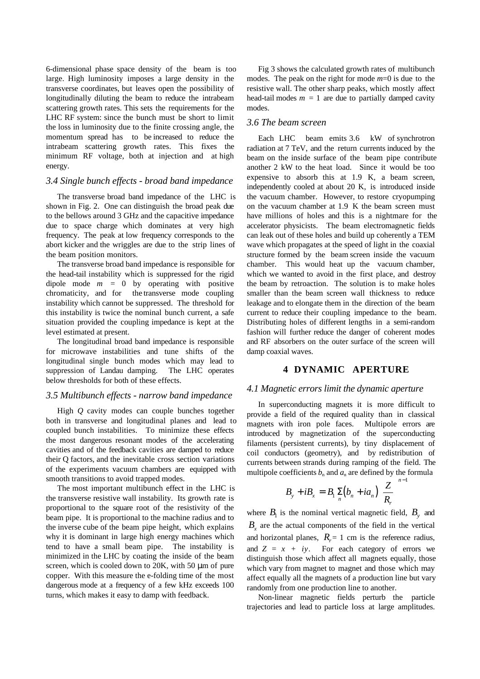6-dimensional phase space density of the beam is too large. High luminosity imposes a large density in the transverse coordinates, but leaves open the possibility of longitudinally diluting the beam to reduce the intrabeam scattering growth rates. This sets the requirements for the LHC RF system: since the bunch must be short to limit the loss in luminosity due to the finite crossing angle, the momentum spread has to be increased to reduce the intrabeam scattering growth rates. This fixes the minimum RF voltage, both at injection and at high energy.

#### *3.4 Single bunch effects - broad band impedance*

The transverse broad band impedance of the LHC is shown in Fig. 2. One can distinguish the broad peak due to the bellows around 3 GHz and the capacitive impedance due to space charge which dominates at very high frequency. The peak at low frequency corresponds to the abort kicker and the wriggles are due to the strip lines of the beam position monitors.

The transverse broad band impedance is responsible for the head-tail instability which is suppressed for the rigid dipole mode  $m = 0$  by operating with positive chromaticity, and for the transverse mode coupling instability which cannot be suppressed. The threshold for this instability is twice the nominal bunch current, a safe situation provided the coupling impedance is kept at the level estimated at present.

The longitudinal broad band impedance is responsible for microwave instabilities and tune shifts of the longitudinal single bunch modes which may lead to suppression of Landau damping. The LHC operates below thresholds for both of these effects.

#### *3.5 Multibunch effects - narrow band impedance*

High *Q* cavity modes can couple bunches together both in transverse and longitudinal planes and lead to coupled bunch instabilities. To minimize these effects the most dangerous resonant modes of the accelerating cavities and of the feedback cavities are damped to reduce their Q factors, and the inevitable cross section variations of the experiments vacuum chambers are equipped with smooth transitions to avoid trapped modes.

The most important multibunch effect in the LHC is the transverse resistive wall instability. Its growth rate is proportional to the square root of the resistivity of the beam pipe. It is proportional to the machine radius and to the inverse cube of the beam pipe height, which explains why it is dominant in large high energy machines which tend to have a small beam pipe. The instability is minimized in the LHC by coating the inside of the beam screen, which is cooled down to  $20K$ , with 50  $\mu$ m of pure copper. With this measure the e-folding time of the most dangerous mode at a frequency of a few kHz exceeds 100 turns, which makes it easy to damp with feedback.

Fig 3 shows the calculated growth rates of multibunch modes. The peak on the right for mode *m*=0 is due to the resistive wall. The other sharp peaks, which mostly affect head-tail modes  $m = 1$  are due to partially damped cavity modes.

## *3.6 The beam screen*

Each LHC beam emits 3.6 kW of synchrotron radiation at 7 TeV, and the return currents induced by the beam on the inside surface of the beam pipe contribute another 2 kW to the heat load. Since it would be too expensive to absorb this at 1.9 K, a beam screen, independently cooled at about 20 K, is introduced inside the vacuum chamber. However, to restore cryopumping on the vacuum chamber at 1.9 K the beam screen must have millions of holes and this is a nightmare for the accelerator physicists. The beam electromagnetic fields can leak out of these holes and build up coherently a TEM wave which propagates at the speed of light in the coaxial structure formed by the beam screen inside the vacuum chamber. This would heat up the vacuum chamber, which we wanted to avoid in the first place, and destroy the beam by retroaction. The solution is to make holes smaller than the beam screen wall thickness to reduce leakage and to elongate them in the direction of the beam current to reduce their coupling impedance to the beam. Distributing holes of different lengths in a semi-random fashion will further reduce the danger of coherent modes and RF absorbers on the outer surface of the screen will damp coaxial waves.

### **4 DYNAMIC APERTURE**

#### *4.1 Magnetic errors limit the dynamic aperture*

In superconducting magnets it is more difficult to provide a field of the required quality than in classical magnets with iron pole faces. Multipole errors are introduced by magnetization of the superconducting filaments (persistent currents), by tiny displacement of coil conductors (geometry), and by redistribution of currents between strands during ramping of the field. The multipole coefficients  $b_n$  and  $a_n$  are defined by the formula − 1

$$
B_{y} + iB_{x} = B_{1} \sum_{n} (b_{n} + ia_{n}) \left(\frac{Z}{R_{r}}\right)^{n}
$$

where  $B_1$  is the nominal vertical magnetic field,  $B_y$  and  $B<sub>x</sub>$  are the actual components of the field in the vertical and horizontal planes,  $R<sub>r</sub> = 1$  cm is the reference radius, and  $Z = x + iy$ . For each category of errors we distinguish those which affect all magnets equally, those which vary from magnet to magnet and those which may affect equally all the magnets of a production line but vary randomly from one production line to another.

Non-linear magnetic fields perturb the particle trajectories and lead to particle loss at large amplitudes.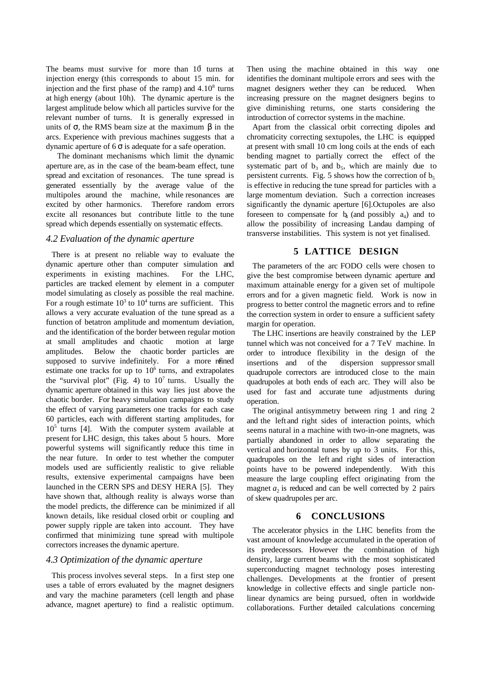The beams must survive for more than  $10$  turns at injection energy (this corresponds to about 15 min. for injection and the first phase of the ramp) and  $4.10<sup>8</sup>$  turns at high energy (about 10h). The dynamic aperture is the largest amplitude below which all particles survive for the relevant number of turns. It is generally expressed in units of  $\sigma$ , the RMS beam size at the maximum  $\beta$  in the arcs. Experience with previous machines suggests that a dynamic aperture of 6 σ is adequate for a safe operation.

The dominant mechanisms which limit the dynamic aperture are, as in the case of the beam-beam effect, tune spread and excitation of resonances. The tune spread is generated essentially by the average value of the multipoles around the machine, while resonances are excited by other harmonics. Therefore random errors excite all resonances but contribute little to the tune spread which depends essentially on systematic effects.

#### *4.2 Evaluation of the dynamic aperture*

There is at present no reliable way to evaluate the dynamic aperture other than computer simulation and experiments in existing machines. For the LHC, particles are tracked element by element in a computer model simulating as closely as possible the real machine. For a rough estimate  $10^3$  to  $10^4$  turns are sufficient. This allows a very accurate evaluation of the tune spread as a function of betatron amplitude and momentum deviation, and the identification of the border between regular motion at small amplitudes and chaotic motion at large amplitudes. Below the chaotic border particles are supposed to survive indefinitely. For a more refined estimate one tracks for up to  $10<sup>6</sup>$  turns, and extrapolates the "survival plot" (Fig. 4) to  $10<sup>7</sup>$  turns. Usually the dynamic aperture obtained in this way lies just above the chaotic border. For heavy simulation campaigns to study the effect of varying parameters one tracks for each case 60 particles, each with different starting amplitudes, for 10<sup>5</sup> turns [4]. With the computer system available at present for LHC design, this takes about 5 hours. More powerful systems will significantly reduce this time in the near future. In order to test whether the computer models used are sufficiently realistic to give reliable results, extensive experimental campaigns have been launched in the CERN SPS and DESY HERA [5]. They have shown that, although reality is always worse than the model predicts, the difference can be minimized if all known details, like residual closed orbit or coupling and power supply ripple are taken into account. They have confirmed that minimizing tune spread with multipole correctors increases the dynamic aperture.

#### *4.3 Optimization of the dynamic aperture*

This process involves several steps. In a first step one uses a table of errors evaluated by the magnet designers and vary the machine parameters (cell length and phase advance, magnet aperture) to find a realistic optimum.

Then using the machine obtained in this way one identifies the dominant multipole errors and sees with the magnet designers wether they can be reduced. When increasing pressure on the magnet designers begins to give diminishing returns, one starts considering the introduction of corrector systems in the machine.

Apart from the classical orbit correcting dipoles and chromaticity correcting sextupoles, the LHC is equipped at present with small 10 cm long coils at the ends of each bending magnet to partially correct the effect of the systematic part of  $b_3$  and  $b_5$ , which are mainly due to persistent currents. Fig. 5 shows how the correction of  $b_5$ is effective in reducing the tune spread for particles with a large momentum deviation. Such a correction increases significantly the dynamic aperture [6].Octupoles are also foreseen to compensate for  $b_4$  (and possibly  $a_4$ ) and to allow the possibility of increasing Landau damping of transverse instabilities. This system is not yet finalised.

## **5 LATTICE DESIGN**

The parameters of the arc FODO cells were chosen to give the best compromise between dynamic aperture and maximum attainable energy for a given set of multipole errors and for a given magnetic field. Work is now in progress to better control the magnetic errors and to refine the correction system in order to ensure a sufficient safety margin for operation.

The LHC insertions are heavily constrained by the LEP tunnel which was not conceived for a 7 TeV machine. In order to introduce flexibility in the design of the insertions and of the dispersion suppressor small quadrupole correctors are introduced close to the main quadrupoles at both ends of each arc. They will also be used for fast and accurate tune adjustments during operation.

The original antisymmetry between ring 1 and ring 2 and the left and right sides of interaction points, which seems natural in a machine with two-in-one magnets, was partially abandoned in order to allow separating the vertical and horizontal tunes by up to 3 units. For this, quadrupoles on the left and right sides of interaction points have to be powered independently. With this measure the large coupling effect originating from the magnet  $a_2$  is reduced and can be well corrected by 2 pairs of skew quadrupoles per arc.

### **6 CONCLUSIONS**

The accelerator physics in the LHC benefits from the vast amount of knowledge accumulated in the operation of its predecessors. However the combination of high density, large current beams with the most sophisticated superconducting magnet technology poses interesting challenges. Developments at the frontier of present knowledge in collective effects and single particle nonlinear dynamics are being pursued, often in worldwide collaborations. Further detailed calculations concerning